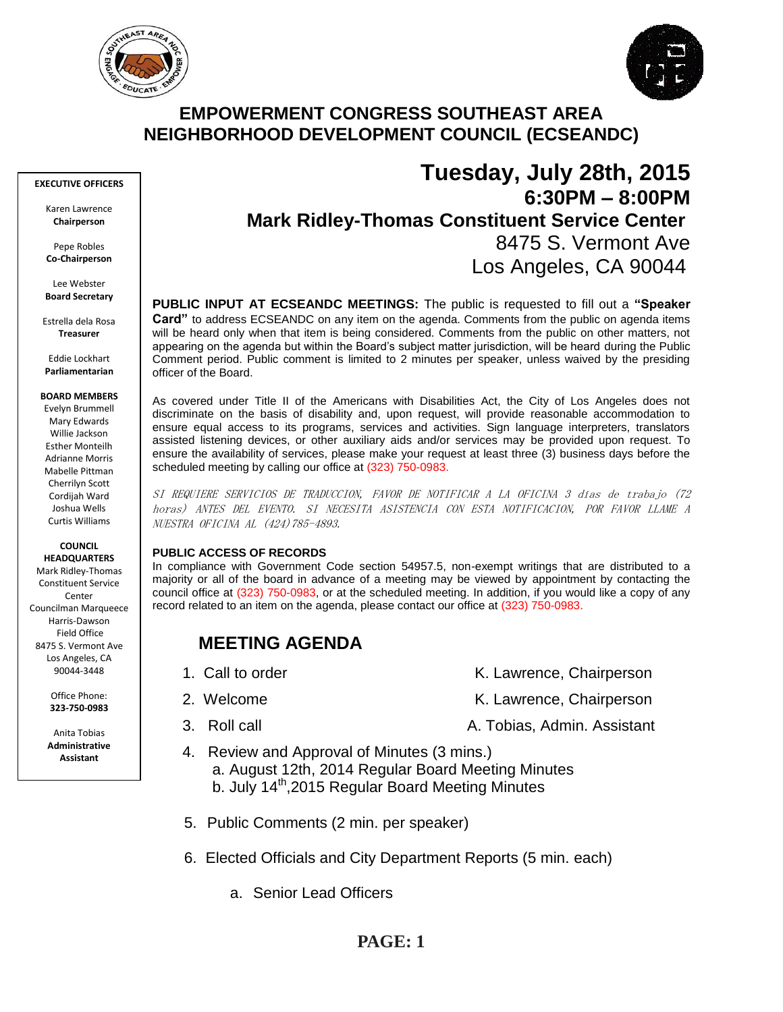



## **EMPOWERMENT CONGRESS SOUTHEAST AREA NEIGHBORHOOD DEVELOPMENT COUNCIL (ECSEANDC)**

#### **EXECUTIVE OFFICERS**

Karen Lawrence **Chairperson**

Pepe Robles **Co-Chairperson**

Lee Webster **Board Secretary**

Estrella dela Rosa **Treasurer**

Eddie Lockhart **Parliamentarian**

#### **BOARD MEMBERS**

Evelyn Brummell Mary Edwards Willie Jackson Esther Monteilh Adrianne Morris Mabelle Pittman Cherrilyn Scott Cordijah Ward Joshua Wells Curtis Williams

#### **COUNCIL HEADQUARTERS**

Mark Ridley-Thomas Constituent Service Conter Councilman Marqueece Harris-Dawson Field Office 8475 S. Vermont Ave Los Angeles, CA 90044-3448

> Office Phone: **323-750-0983**

Anita Tobias **Administrative Assistant**

# **Tuesday, July 28th, 2015 6:30PM – 8:00PM Mark Ridley-Thomas Constituent Service Center** 8475 S. Vermont Ave Los Angeles, CA 90044

**PUBLIC INPUT AT ECSEANDC MEETINGS:** The public is requested to fill out a **"Speaker Card"** to address ECSEANDC on any item on the agenda. Comments from the public on agenda items will be heard only when that item is being considered. Comments from the public on other matters, not appearing on the agenda but within the Board's subject matter jurisdiction, will be heard during the Public Comment period. Public comment is limited to 2 minutes per speaker, unless waived by the presiding officer of the Board.

As covered under Title II of the Americans with Disabilities Act, the City of Los Angeles does not discriminate on the basis of disability and, upon request, will provide reasonable accommodation to ensure equal access to its programs, services and activities. Sign language interpreters, translators assisted listening devices, or other auxiliary aids and/or services may be provided upon request. To ensure the availability of services, please make your request at least three (3) business days before the scheduled meeting by calling our office at (323) 750-0983.

SI REQUIERE SERVICIOS DE TRADUCCION, FAVOR DE NOTIFICAR A LA OFICINA 3 días de trabajo (72 horas) ANTES DEL EVENTO. SI NECESITA ASISTENCIA CON ESTA NOTIFICACION, POR FAVOR LLAME A NUESTRA OFICINA AL (424)785-4893.

### **PUBLIC ACCESS OF RECORDS**

In compliance with Government Code section 54957.5, non-exempt writings that are distributed to a majority or all of the board in advance of a meeting may be viewed by appointment by contacting the council office at (323) 750-0983, or at the scheduled meeting. In addition, if you would like a copy of any record related to an item on the agenda, please contact our office at (323) 750-0983.

## **MEETING AGENDA**

- 
- 
- 
- 1. Call to order The Call to order The Chairperson K. Lawrence, Chairperson
- 2. Welcome **K. Lawrence, Chairperson**
- 3. Roll call A. Tobias, Admin. Assistant
- 4. Review and Approval of Minutes (3 mins.) a. August 12th, 2014 Regular Board Meeting Minutes b. July 14<sup>th</sup>, 2015 Regular Board Meeting Minutes
	- 5. Public Comments (2 min. per speaker)
	- 6. Elected Officials and City Department Reports (5 min. each)
		- a. Senior Lead Officers

## **PAGE: 1**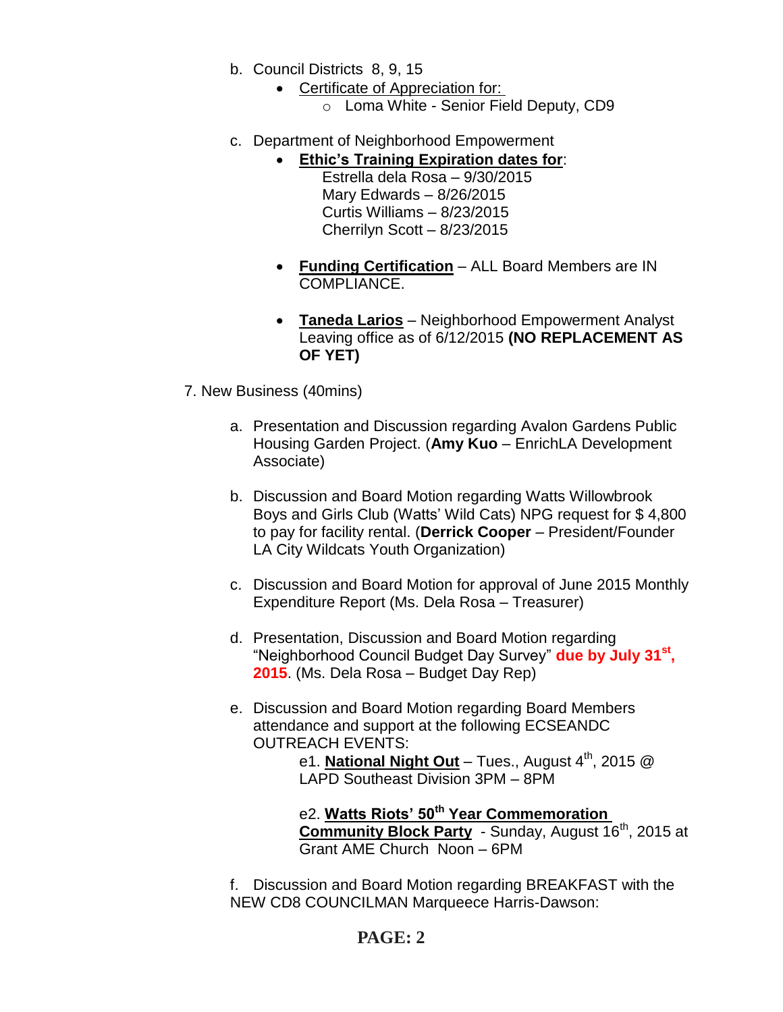- b. Council Districts 8, 9, 15
	- Certificate of Appreciation for:
		- o Loma White Senior Field Deputy, CD9
- c. Department of Neighborhood Empowerment
	- **Ethic's Training Expiration dates for**:
		- Estrella dela Rosa 9/30/2015 Mary Edwards – 8/26/2015 Curtis Williams – 8/23/2015 Cherrilyn Scott – 8/23/2015
		- **Funding Certification** ALL Board Members are IN COMPLIANCE.
		- **Taneda Larios** Neighborhood Empowerment Analyst Leaving office as of 6/12/2015 **(NO REPLACEMENT AS OF YET)**
- 7. New Business (40mins)
	- a. Presentation and Discussion regarding Avalon Gardens Public Housing Garden Project. (**Amy Kuo** – EnrichLA Development Associate)
	- b. Discussion and Board Motion regarding Watts Willowbrook Boys and Girls Club (Watts' Wild Cats) NPG request for \$ 4,800 to pay for facility rental. (**Derrick Cooper** – President/Founder LA City Wildcats Youth Organization)
	- c. Discussion and Board Motion for approval of June 2015 Monthly Expenditure Report (Ms. Dela Rosa – Treasurer)
	- d. Presentation, Discussion and Board Motion regarding "Neighborhood Council Budget Day Survey" **due by July 31st , 2015**. (Ms. Dela Rosa – Budget Day Rep)
	- e. Discussion and Board Motion regarding Board Members attendance and support at the following ECSEANDC OUTREACH EVENTS:

e1. **National Night Out** – Tues., August 4<sup>th</sup>, 2015 @ LAPD Southeast Division 3PM – 8PM

e2. **Watts Riots' 50th Year Commemoration**  Community Block Party - Sunday, August 16<sup>th</sup>, 2015 at Grant AME Church Noon – 6PM

f. Discussion and Board Motion regarding BREAKFAST with the NEW CD8 COUNCILMAN Marqueece Harris-Dawson:

## **PAGE: 2**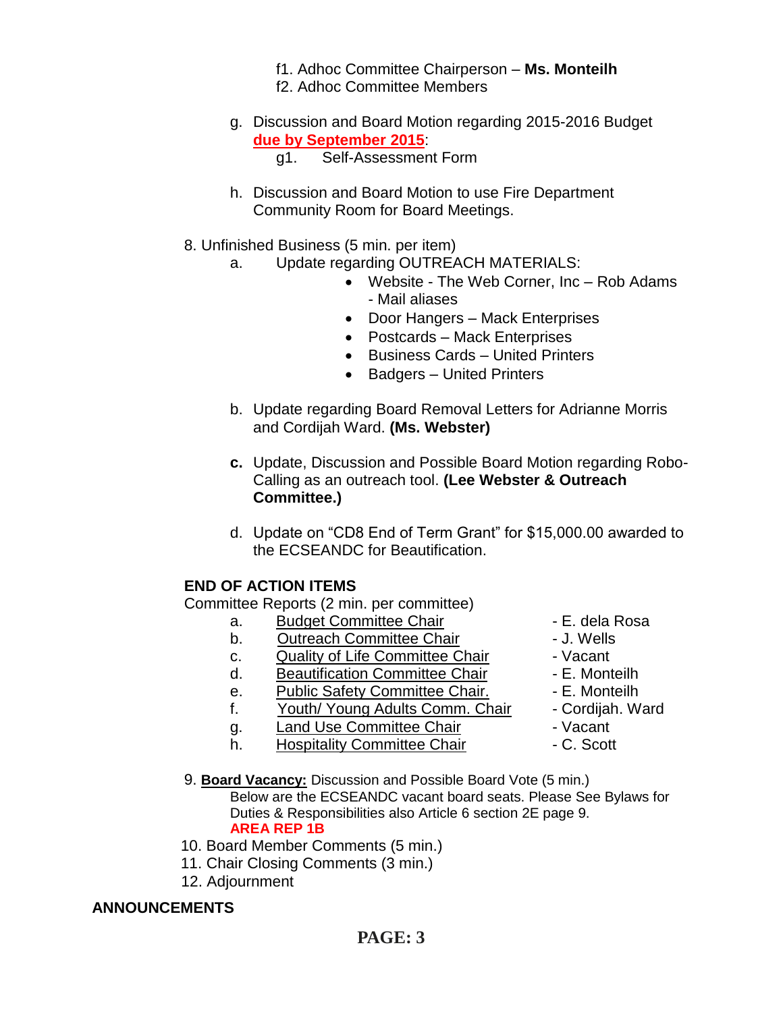- f1. Adhoc Committee Chairperson **Ms. Monteilh** f2. Adhoc Committee Members
- g. Discussion and Board Motion regarding 2015-2016 Budget **due by September 2015**:
	- g1. Self-Assessment Form
- h. Discussion and Board Motion to use Fire Department Community Room for Board Meetings.
- 8. Unfinished Business (5 min. per item)
	- a. Update regarding OUTREACH MATERIALS:
		- Website The Web Corner, Inc Rob Adams - Mail aliases
		- Door Hangers Mack Enterprises
		- Postcards Mack Enterprises
		- Business Cards United Printers
		- Badgers United Printers
	- b. Update regarding Board Removal Letters for Adrianne Morris and Cordijah Ward. **(Ms. Webster)**
	- **c.** Update, Discussion and Possible Board Motion regarding Robo-Calling as an outreach tool. **(Lee Webster & Outreach Committee.)**
	- d. Update on "CD8 End of Term Grant" for \$15,000.00 awarded to the ECSEANDC for Beautification.

### **END OF ACTION ITEMS**

Committee Reports (2 min. per committee)

- a. Budget Committee Chair **1988** E. dela Rosa
- b. Outreach Committee Chair **Danisland** J. Wells
- c. Quality of Life Committee Chair Vacant
- d. Beautification Committee Chair F. Monteilh
- e. Public Safety Committee Chair. E. Monteilh
- f. Youth/ Young Adults Comm. Chair Cordijah. Ward
- q. Land Use Committee Chair  **Vacant**
- h. Hospitality Committee Chair  **C. Scott**
- 
- 
- 
- 
- 
- 
- 
- 
- 9. **Board Vacancy:** Discussion and Possible Board Vote (5 min.) Below are the ECSEANDC vacant board seats. Please See Bylaws for Duties & Responsibilities also Article 6 section 2E page 9. **AREA REP 1B**
- 10. Board Member Comments (5 min.)
- 11. Chair Closing Comments (3 min.)
- 12. Adjournment

### **ANNOUNCEMENTS**